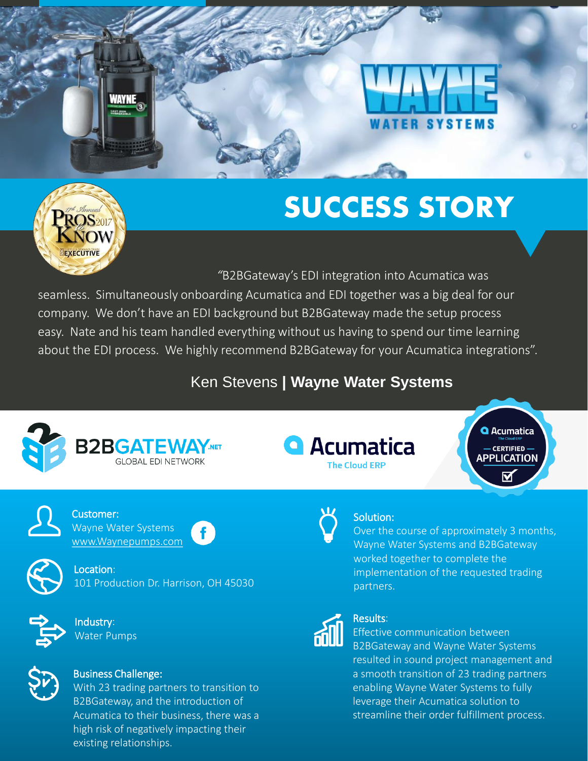# **ATER SYSTEMS**

## **SUCCESS STORY**



WAYNE

*"*B2BGateway's EDI integration into Acumatica was

. easy. Nate and his team handled everything without us having to spend our time learning seamless. Simultaneously onboarding Acumatica and EDI together was a big deal for our company. We don't have an EDI background but B2BGateway made the setup process about the EDI process. We highly recommend B2BGateway for your Acumatica integrations".

#### Ken Stevens **| Wayne Water Systems**







**Q** Acumatica **CERTIFIED -APPLICATION** 



Customer: Wayne Water Systems [www.Waynepumps.com](http://www.waynepumps.com/)



Location: 101 Production Dr. Harrison, OH 45030



Industry: Water Pumps



#### Business Challenge:

With 23 trading partners to transition to B2BGateway, and the introduction of Acumatica to their business, there was a high risk of negatively impacting their existing relationships.



#### partners. Results:

Solution:

Effective communication between B2BGateway and Wayne Water Systems

resulted in sound project management and a smooth transition of 23 trading partners enabling Wayne Water Systems to fully leverage their Acumatica solution to streamline their order fulfillment process.

Over the course of approximately 3 months, Wayne Water Systems and B2BGateway

implementation of the requested trading

worked together to complete the